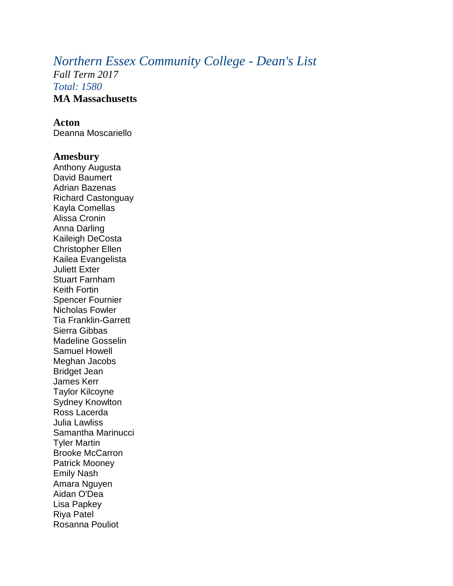# *Northern Essex Community College - Dean's List*

*Fall Term 2017 Total: 1580* **MA Massachusetts**

### **Acton**

Deanna Moscariello

#### **Amesbury**

Anthony Augusta David Baumert Adrian Bazenas Richard Castonguay Kayla Comellas Alissa Cronin Anna Darling Kaileigh DeCosta Christopher Ellen Kailea Evangelista Juliett Exter Stuart Farnham Keith Fortin Spencer Fournier Nicholas Fowler Tia Franklin-Garrett Sierra Gibbas Madeline Gosselin Samuel Howell Meghan Jacobs Bridget Jean James Kerr Taylor Kilcoyne Sydney Knowlton Ross Lacerda Julia Lawliss Samantha Marinucci Tyler Martin Brooke McCarron Patrick Mooney Emily Nash Amara Nguyen Aidan O'Dea Lisa Papkey Riya Patel Rosanna Pouliot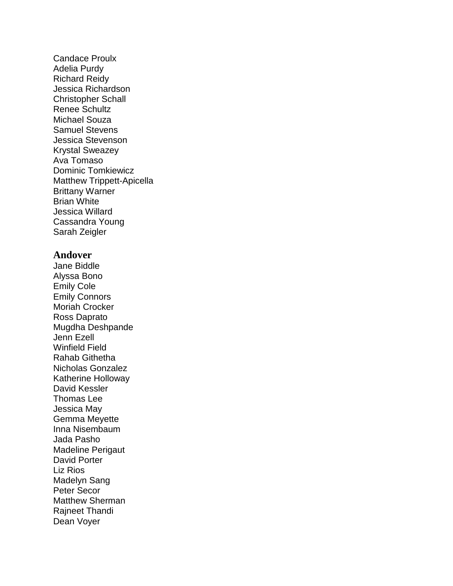Candace Proulx Adelia Purdy Richard Reidy Jessica Richardson Christopher Schall Renee Schultz Michael Souza Samuel Stevens Jessica Stevenson Krystal Sweazey Ava Tomaso Dominic Tomkiewicz Matthew Trippett-Apicella Brittany Warner Brian White Jessica Willard Cassandra Young Sarah Zeigler

#### **Andover**

Jane Biddle Alyssa Bono Emily Cole Emily Connors Moriah Crocker Ross Daprato Mugdha Deshpande Jenn Ezell Winfield Field Rahab Githetha Nicholas Gonzalez Katherine Holloway David Kessler Thomas Lee Jessica May Gemma Meyette Inna Nisembaum Jada Pasho Madeline Perigaut David Porter Liz Rios Madelyn Sang Peter Secor Matthew Sherman Rajneet Thandi Dean Voyer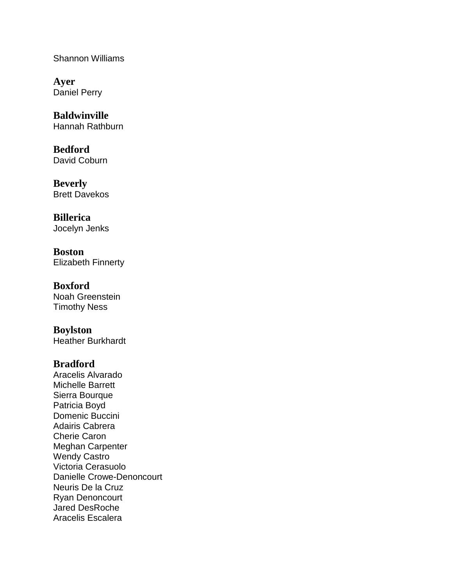Shannon Williams

**Ayer** Daniel Perry

**Baldwinville** Hannah Rathburn

**Bedford** David Coburn

**Beverly** Brett Davekos

**Billerica** Jocelyn Jenks

**Boston** Elizabeth Finnerty

**Boxford** Noah Greenstein Timothy Ness

**Boylston** Heather Burkhardt

# **Bradford**

Aracelis Alvarado Michelle Barrett Sierra Bourque Patricia Boyd Domenic Buccini Adairis Cabrera Cherie Caron Meghan Carpenter Wendy Castro Victoria Cerasuolo Danielle Crowe-Denoncourt Neuris De la Cruz Ryan Denoncourt Jared DesRoche Aracelis Escalera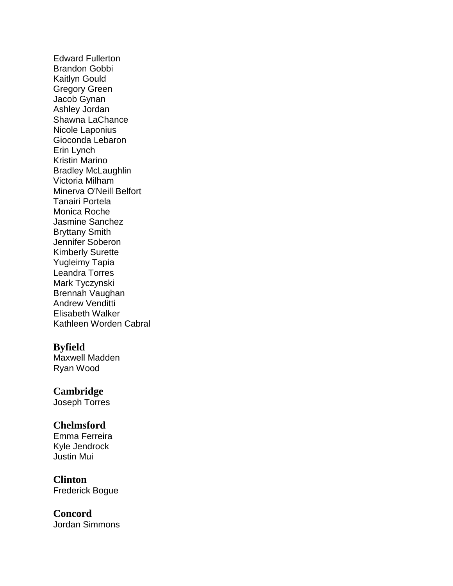Edward Fullerton Brandon Gobbi Kaitlyn Gould Gregory Green Jacob Gynan Ashley Jordan Shawna LaChance Nicole Laponius Gioconda Lebaron Erin Lynch Kristin Marino Bradley McLaughlin Victoria Milham Minerva O'Neill Belfort Tanairi Portela Monica Roche Jasmine Sanchez Bryttany Smith Jennifer Soberon Kimberly Surette Yugleimy Tapia Leandra Torres Mark Tyczynski Brennah Vaughan Andrew Venditti Elisabeth Walker Kathleen Worden Cabral

# **Byfield**

Maxwell Madden Ryan Wood

### **Cambridge**

Joseph Torres

# **Chelmsford**

Emma Ferreira Kyle Jendrock Justin Mui

# **Clinton**

Frederick Bogue

#### **Concord** Jordan Simmons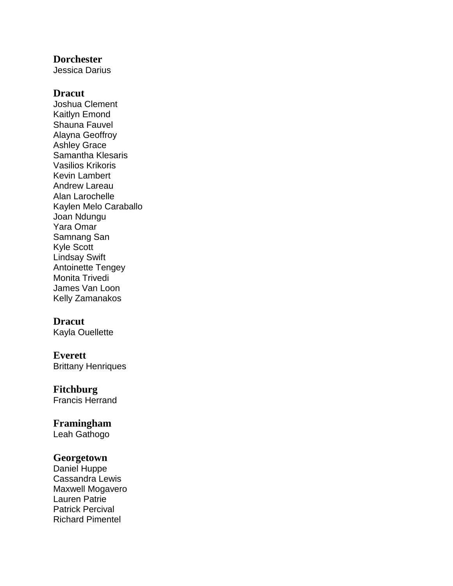### **Dorchester**

Jessica Darius

### **Dracut**

Joshua Clement Kaitlyn Emond Shauna Fauvel Alayna Geoffroy Ashley Grace Samantha Klesaris Vasilios Krikoris Kevin Lambert Andrew Lareau Alan Larochelle Kaylen Melo Caraballo Joan Ndungu Yara Omar Samnang San Kyle Scott Lindsay Swift Antoinette Tengey Monita Trivedi James Van Loon Kelly Zamanakos

# **Dracut**

Kayla Ouellette

### **Everett** Brittany Henriques

**Fitchburg**

Francis Herrand

# **Framingham**

Leah Gathogo

# **Georgetown**

Daniel Huppe Cassandra Lewis Maxwell Mogavero Lauren Patrie Patrick Percival Richard Pimentel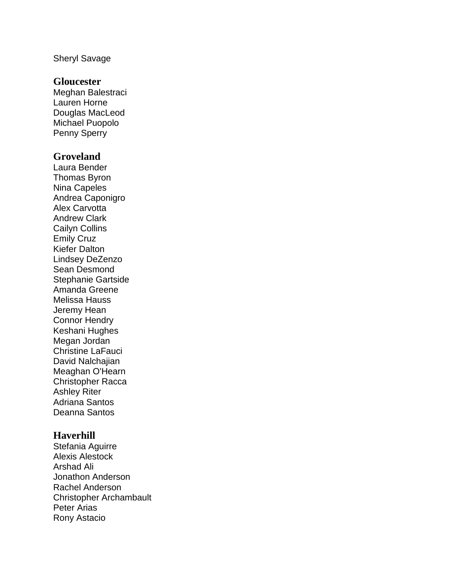#### Sheryl Savage

### **Gloucester**

Meghan Balestraci Lauren Horne Douglas MacLeod Michael Puopolo Penny Sperry

# **Groveland**

Laura Bender Thomas Byron Nina Capeles Andrea Caponigro Alex Carvotta Andrew Clark Cailyn Collins Emily Cruz Kiefer Dalton Lindsey DeZenzo Sean Desmond Stephanie Gartside Amanda Greene Melissa Hauss Jeremy Hean Connor Hendry Keshani Hughes Megan Jordan Christine LaFauci David Nalchajian Meaghan O'Hearn Christopher Racca Ashley Riter Adriana Santos Deanna Santos

# **Haverhill**

Stefania Aguirre Alexis Alestock Arshad Ali Jonathon Anderson Rachel Anderson Christopher Archambault Peter Arias Rony Astacio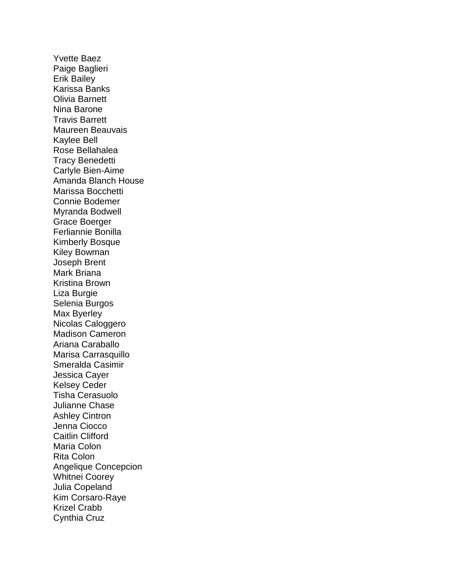Yvette Baez Paige Baglieri Erik Bailey Karissa Banks Olivia Barnett Nina Barone Travis Barrett Maureen Beauvais Kaylee Bell Rose Bellahalea Tracy Benedetti Carlyle Bien-Aime Amanda Blanch House Marissa Bocchetti Connie Bodemer Myranda Bodwell Grace Boerger Ferliannie Bonilla Kimberly Bosque Kiley Bowman Joseph Brent Mark Briana Kristina Brown Liza Burgie Selenia Burgos Max Byerley Nicolas Caloggero Madison Cameron Ariana Caraballo Marisa Carrasquillo Smeralda Casimir Jessica Cayer Kelsey Ceder Tisha Cerasuolo Julianne Chase Ashley Cintron Jenna Ciocco Caitlin Clifford Maria Colon Rita Colon Angelique Concepcion Whitnei Coorey Julia Copeland Kim Corsaro-Raye Krizel Crabb Cynthia Cruz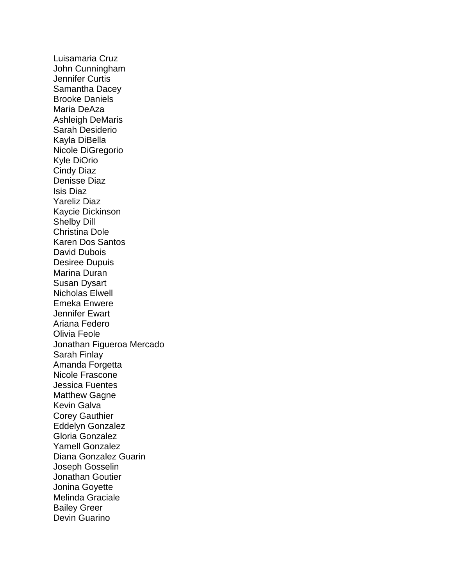Luisamaria Cruz John Cunningham Jennifer Curtis Samantha Dacey Brooke Daniels Maria DeAza Ashleigh DeMaris Sarah Desiderio Kayla DiBella Nicole DiGregorio Kyle DiOrio Cindy Diaz Denisse Diaz Isis Diaz Yareliz Diaz Kaycie Dickinson Shelby Dill Christina Dole Karen Dos Santos David Dubois Desiree Dupuis Marina Duran Susan Dysart Nicholas Elwell Emeka Enwere Jennifer Ewart Ariana Federo Olivia Feole Jonathan Figueroa Mercado Sarah Finlay Amanda Forgetta Nicole Frascone Jessica Fuentes Matthew Gagne Kevin Galva Corey Gauthier Eddelyn Gonzalez Gloria Gonzalez Yamell Gonzalez Diana Gonzalez Guarin Joseph Gosselin Jonathan Goutier Jonina Goyette Melinda Graciale Bailey Greer Devin Guarino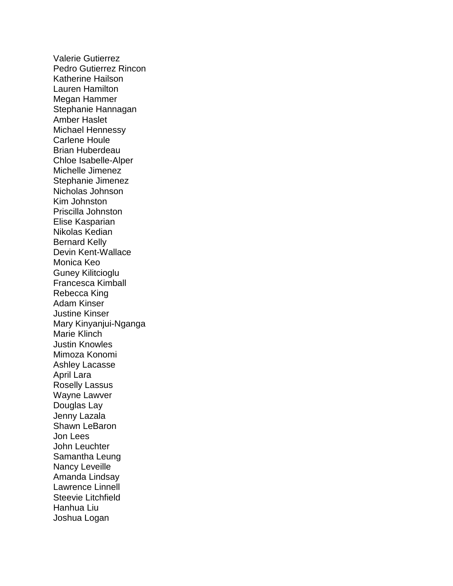Valerie Gutierrez Pedro Gutierrez Rincon Katherine Hailson Lauren Hamilton Megan Hammer Stephanie Hannagan Amber Haslet Michael Hennessy Carlene Houle Brian Huberdeau Chloe Isabelle-Alper Michelle Jimenez Stephanie Jimenez Nicholas Johnson Kim Johnston Priscilla Johnston Elise Kasparian Nikolas Kedian Bernard Kelly Devin Kent-Wallace Monica Keo Guney Kilitcioglu Francesca Kimball Rebecca King Adam Kinser Justine Kinser Mary Kinyanjui-Nganga Marie Klinch Justin Knowles Mimoza Konomi Ashley Lacasse April Lara Roselly Lassus Wayne Lawver Douglas Lay Jenny Lazala Shawn LeBaron Jon Lees John Leuchter Samantha Leung Nancy Leveille Amanda Lindsay Lawrence Linnell Steevie Litchfield Hanhua Liu Joshua Logan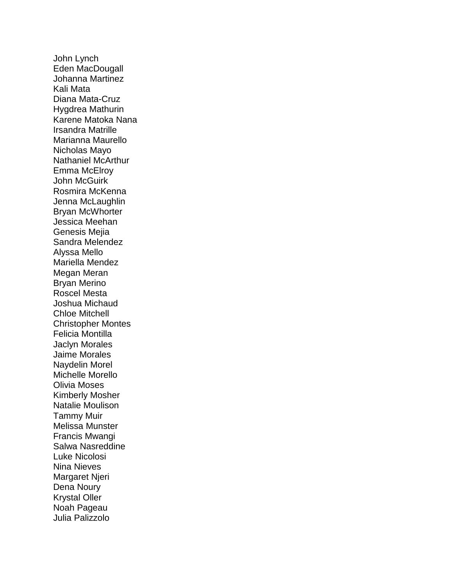John Lynch Eden MacDougall Johanna Martinez Kali Mata Diana Mata-Cruz Hygdrea Mathurin Karene Matoka Nana Irsandra Matrille Marianna Maurello Nicholas Mayo Nathaniel McArthur Emma McElroy John McGuirk Rosmira McKenna Jenna McLaughlin Bryan McWhorter Jessica Meehan Genesis Mejia Sandra Melendez Alyssa Mello Mariella Mendez Megan Meran Bryan Merino Roscel Mesta Joshua Michaud Chloe Mitchell Christopher Montes Felicia Montilla Jaclyn Morales Jaime Morales Naydelin Morel Michelle Morello Olivia Moses Kimberly Mosher Natalie Moulison Tammy Muir Melissa Munster Francis Mwangi Salwa Nasreddine Luke Nicolosi Nina Nieves Margaret Njeri Dena Noury Krystal Oller Noah Pageau Julia Palizzolo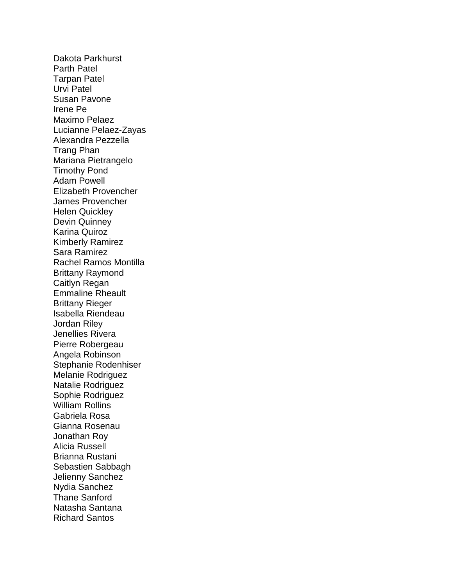Dakota Parkhurst Parth Patel Tarpan Patel Urvi Patel Susan Pavone Irene Pe Maximo Pelaez Lucianne Pelaez-Zayas Alexandra Pezzella Trang Phan Mariana Pietrangelo Timothy Pond Adam Powell Elizabeth Provencher James Provencher Helen Quickley Devin Quinney Karina Quiroz Kimberly Ramirez Sara Ramirez Rachel Ramos Montilla Brittany Raymond Caitlyn Regan Emmaline Rheault Brittany Rieger Isabella Riendeau Jordan Riley Jenellies Rivera Pierre Robergeau Angela Robinson Stephanie Rodenhiser Melanie Rodriguez Natalie Rodriguez Sophie Rodriguez William Rollins Gabriela Rosa Gianna Rosenau Jonathan Roy Alicia Russell Brianna Rustani Sebastien Sabbagh Jelienny Sanchez Nydia Sanchez Thane Sanford Natasha Santana Richard Santos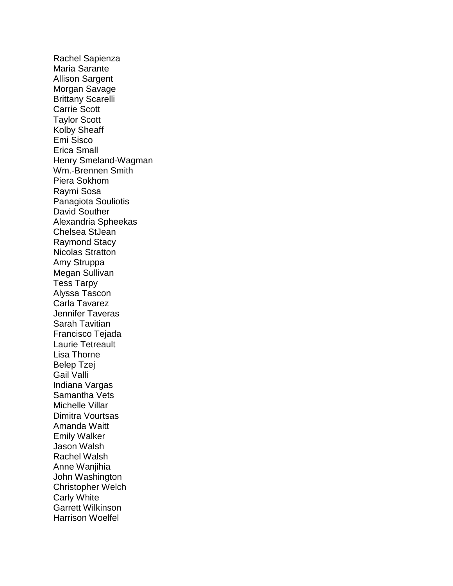Rachel Sapienza Maria Sarante Allison Sargent Morgan Savage Brittany Scarelli Carrie Scott Taylor Scott Kolby Sheaff Emi Sisco Erica Small Henry Smeland-Wagman Wm.-Brennen Smith Piera Sokhom Raymi Sosa Panagiota Souliotis David Souther Alexandria Spheekas Chelsea StJean Raymond Stacy Nicolas Stratton Amy Struppa Megan Sullivan Tess Tarpy Alyssa Tascon Carla Tavarez Jennifer Taveras Sarah Tavitian Francisco Tejada Laurie Tetreault Lisa Thorne Belep Tzej Gail Valli Indiana Vargas Samantha Vets Michelle Villar Dimitra Vourtsas Amanda Waitt Emily Walker Jason Walsh Rachel Walsh Anne Wanjihia John Washington Christopher Welch Carly White Garrett Wilkinson Harrison Woelfel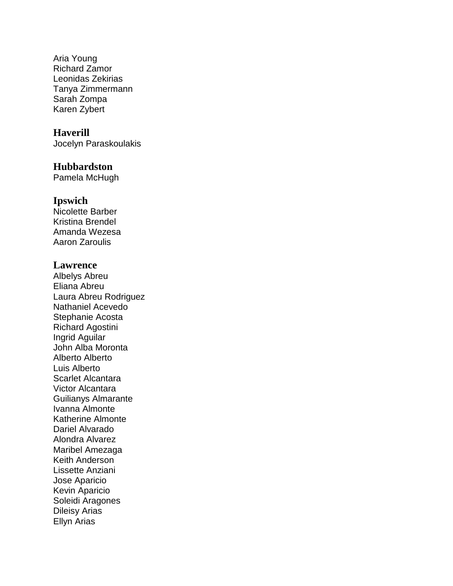Aria Young Richard Zamor Leonidas Zekirias Tanya Zimmermann Sarah Zompa Karen Zybert

# **Haverill**

Jocelyn Paraskoulakis

#### **Hubbardston**

Pamela McHugh

# **Ipswich**

Nicolette Barber Kristina Brendel Amanda Wezesa Aaron Zaroulis

### **Lawrence**

Albelys Abreu Eliana Abreu Laura Abreu Rodriguez Nathaniel Acevedo Stephanie Acosta Richard Agostini Ingrid Aguilar John Alba Moronta Alberto Alberto Luis Alberto Scarlet Alcantara Victor Alcantara Guilianys Almarante Ivanna Almonte Katherine Almonte Dariel Alvarado Alondra Alvarez Maribel Amezaga Keith Anderson Lissette Anziani Jose Aparicio Kevin Aparicio Soleidi Aragones Dileisy Arias Ellyn Arias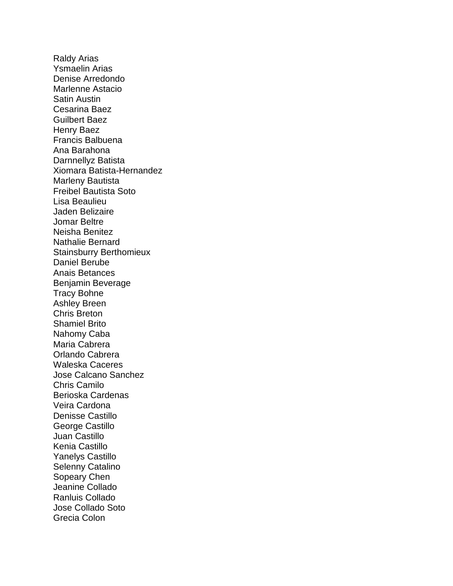Raldy Arias Ysmaelin Arias Denise Arredondo Marlenne Astacio Satin Austin Cesarina Baez Guilbert Baez Henry Baez Francis Balbuena Ana Barahona Darnnellyz Batista Xiomara Batista-Hernandez Marleny Bautista Freibel Bautista Soto Lisa Beaulieu Jaden Belizaire Jomar Beltre Neisha Benitez Nathalie Bernard Stainsburry Berthomieux Daniel Berube Anais Betances Benjamin Beverage Tracy Bohne Ashley Breen Chris Breton Shamiel Brito Nahomy Caba Maria Cabrera Orlando Cabrera Waleska Caceres Jose Calcano Sanchez Chris Camilo Berioska Cardenas Veira Cardona Denisse Castillo George Castillo Juan Castillo Kenia Castillo Yanelys Castillo Selenny Catalino Sopeary Chen Jeanine Collado Ranluis Collado Jose Collado Soto Grecia Colon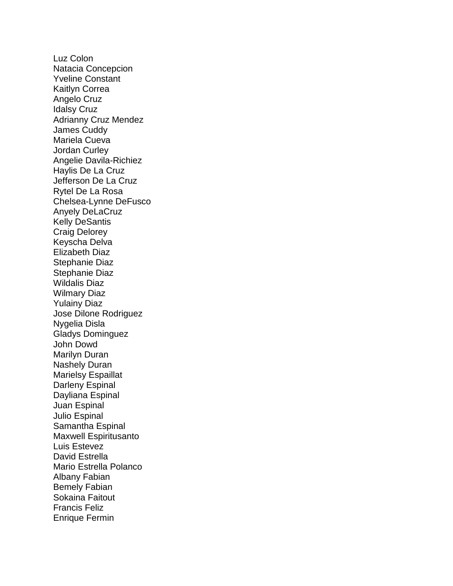Luz Colon Natacia Concepcion Yveline Constant Kaitlyn Correa Angelo Cruz Idalsy Cruz Adrianny Cruz Mendez James Cuddy Mariela Cueva Jordan Curley Angelie Davila-Richiez Haylis De La Cruz Jefferson De La Cruz Rytel De La Rosa Chelsea-Lynne DeFusco Anyely DeLaCruz Kelly DeSantis Craig Delorey Keyscha Delva Elizabeth Diaz Stephanie Diaz Stephanie Diaz Wildalis Diaz Wilmary Diaz Yulainy Diaz Jose Dilone Rodriguez Nygelia Disla Gladys Dominguez John Dowd Marilyn Duran Nashely Duran Marielsy Espaillat Darleny Espinal Dayliana Espinal Juan Espinal Julio Espinal Samantha Espinal Maxwell Espiritusanto Luis Estevez David Estrella Mario Estrella Polanco Albany Fabian Bemely Fabian Sokaina Faitout Francis Feliz Enrique Fermin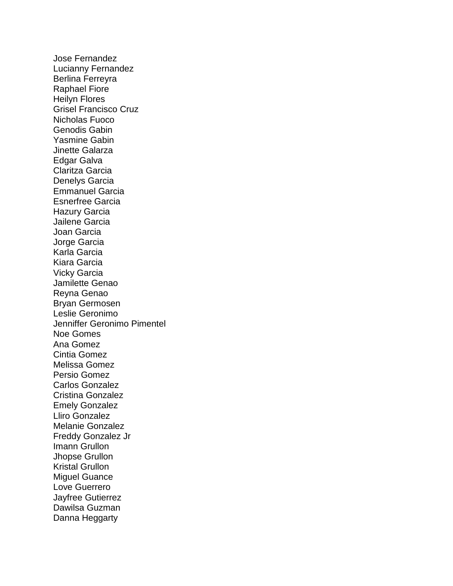Jose Fernandez Lucianny Fernandez Berlina Ferreyra Raphael Fiore Heilyn Flores Grisel Francisco Cruz Nicholas Fuoco Genodis Gabin Yasmine Gabin Jinette Galarza Edgar Galva Claritza Garcia Denelys Garcia Emmanuel Garcia Esnerfree Garcia Hazury Garcia Jailene Garcia Joan Garcia Jorge Garcia Karla Garcia Kiara Garcia Vicky Garcia Jamilette Genao Reyna Genao Bryan Germosen Leslie Geronimo Jenniffer Geronimo Pimentel Noe Gomes Ana Gomez Cintia Gomez Melissa Gomez Persio Gomez Carlos Gonzalez Cristina Gonzalez Emely Gonzalez Lliro Gonzalez Melanie Gonzalez Freddy Gonzalez Jr Imann Grullon Jhopse Grullon Kristal Grullon Miguel Guance Love Guerrero Jayfree Gutierrez Dawilsa Guzman Danna Heggarty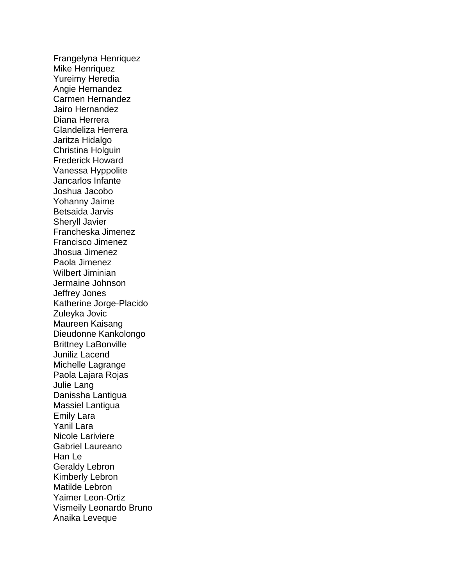Frangelyna Henriquez Mike Henriquez Yureimy Heredia Angie Hernandez Carmen Hernandez Jairo Hernandez Diana Herrera Glandeliza Herrera Jaritza Hidalgo Christina Holguin Frederick Howard Vanessa Hyppolite Jancarlos Infante Joshua Jacobo Yohanny Jaime Betsaida Jarvis Sheryll Javier Francheska Jimenez Francisco Jimenez Jhosua Jimenez Paola Jimenez Wilbert Jiminian Jermaine Johnson Jeffrey Jones Katherine Jorge-Placido Zuleyka Jovic Maureen Kaisang Dieudonne Kankolongo Brittney LaBonville Juniliz Lacend Michelle Lagrange Paola Lajara Rojas Julie Lang Danissha Lantigua Massiel Lantigua Emily Lara Yanil Lara Nicole Lariviere Gabriel Laureano Han Le Geraldy Lebron Kimberly Lebron Matilde Lebron Yaimer Leon-Ortiz Vismeily Leonardo Bruno Anaika Leveque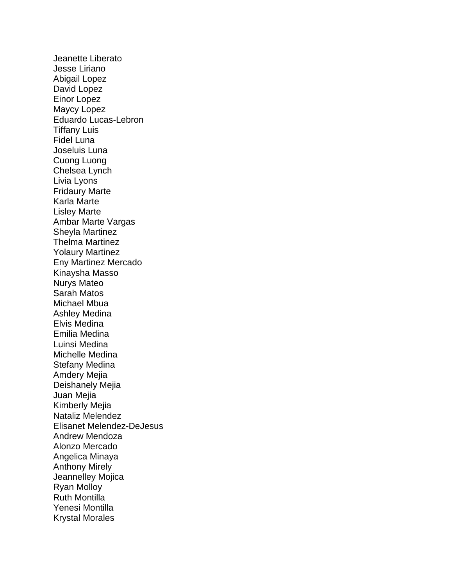Jeanette Liberato Jesse Liriano Abigail Lopez David Lopez Einor Lopez Maycy Lopez Eduardo Lucas-Lebron Tiffany Luis Fidel Luna Joseluis Luna Cuong Luong Chelsea Lynch Livia Lyons Fridaury Marte Karla Marte Lisley Marte Ambar Marte Vargas Sheyla Martinez Thelma Martinez Yolaury Martinez Eny Martinez Mercado Kinaysha Masso Nurys Mateo Sarah Matos Michael Mbua Ashley Medina Elvis Medina Emilia Medina Luinsi Medina Michelle Medina Stefany Medina Amdery Mejia Deishanely Mejia Juan Mejia Kimberly Mejia Nataliz Melendez Elisanet Melendez-DeJesus Andrew Mendoza Alonzo Mercado Angelica Minaya Anthony Mirely Jeannelley Mojica Ryan Molloy Ruth Montilla Yenesi Montilla Krystal Morales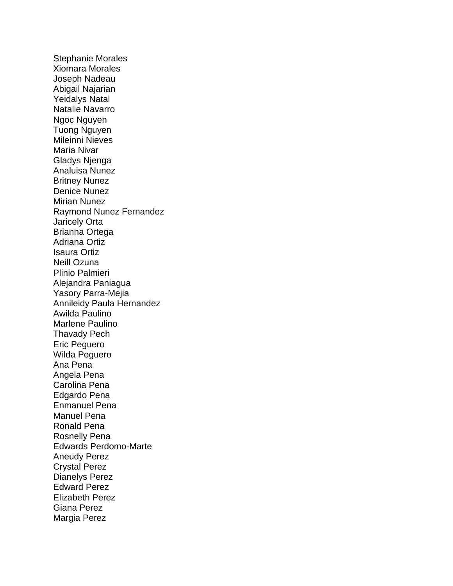Stephanie Morales Xiomara Morales Joseph Nadeau Abigail Najarian Yeidalys Natal Natalie Navarro Ngoc Nguyen Tuong Nguyen Mileinni Nieves Maria Nivar Gladys Njenga Analuisa Nunez Britney Nunez Denice Nunez Mirian Nunez Raymond Nunez Fernandez Jaricely Orta Brianna Ortega Adriana Ortiz Isaura Ortiz Neill Ozuna Plinio Palmieri Alejandra Paniagua Yasory Parra-Mejia Annileidy Paula Hernandez Awilda Paulino Marlene Paulino Thavady Pech Eric Peguero Wilda Peguero Ana Pena Angela Pena Carolina Pena Edgardo Pena Enmanuel Pena Manuel Pena Ronald Pena Rosnelly Pena Edwards Perdomo-Marte Aneudy Perez Crystal Perez Dianelys Perez Edward Perez Elizabeth Perez Giana Perez Margia Perez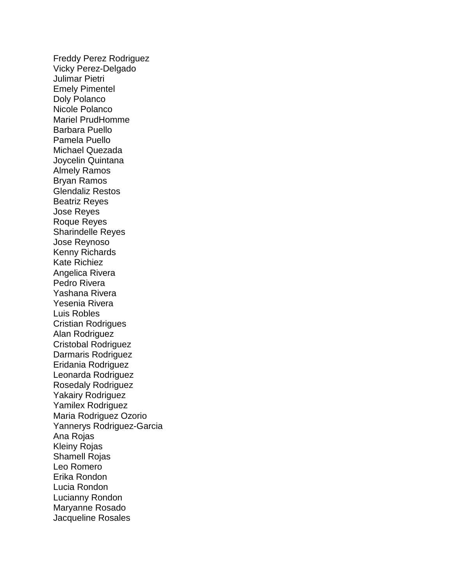Freddy Perez Rodriguez Vicky Perez-Delgado Julimar Pietri Emely Pimentel Doly Polanco Nicole Polanco Mariel PrudHomme Barbara Puello Pamela Puello Michael Quezada Joycelin Quintana Almely Ramos Bryan Ramos Glendaliz Restos Beatriz Reyes Jose Reyes Roque Reyes Sharindelle Reyes Jose Reynoso Kenny Richards Kate Richiez Angelica Rivera Pedro Rivera Yashana Rivera Yesenia Rivera Luis Robles Cristian Rodrigues Alan Rodriguez Cristobal Rodriguez Darmaris Rodriguez Eridania Rodriguez Leonarda Rodriguez Rosedaly Rodriguez Yakairy Rodriguez Yamilex Rodriguez Maria Rodriguez Ozorio Yannerys Rodriguez-Garcia Ana Rojas Kleiny Rojas Shamell Rojas Leo Romero Erika Rondon Lucia Rondon Lucianny Rondon Maryanne Rosado Jacqueline Rosales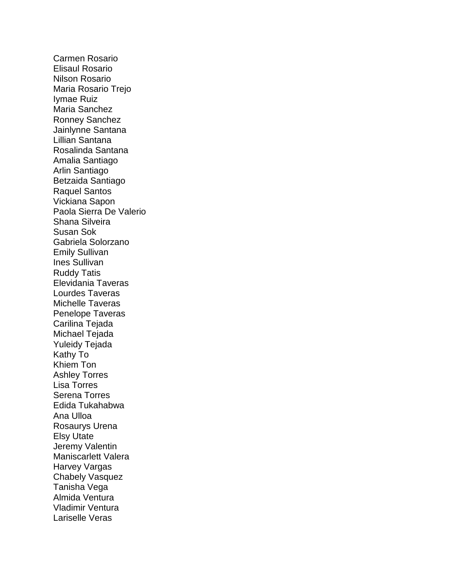Carmen Rosario Elisaul Rosario Nilson Rosario Maria Rosario Trejo Iymae Ruiz Maria Sanchez Ronney Sanchez Jainlynne Santana Lillian Santana Rosalinda Santana Amalia Santiago Arlin Santiago Betzaida Santiago Raquel Santos Vickiana Sapon Paola Sierra De Valerio Shana Silveira Susan Sok Gabriela Solorzano Emily Sullivan Ines Sullivan Ruddy Tatis Elevidania Taveras Lourdes Taveras Michelle Taveras Penelope Taveras Carilina Tejada Michael Tejada Yuleidy Tejada Kathy To Khiem Ton Ashley Torres Lisa Torres Serena Torres Edida Tukahabwa Ana Ulloa Rosaurys Urena Elsy Utate Jeremy Valentin Maniscarlett Valera Harvey Vargas Chabely Vasquez Tanisha Vega Almida Ventura Vladimir Ventura Lariselle Veras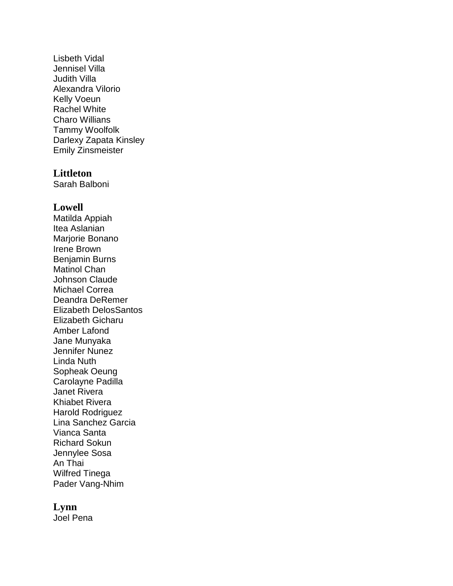Lisbeth Vidal Jennisel Villa Judith Villa Alexandra Vilorio Kelly Voeun Rachel White Charo Willians Tammy Woolfolk Darlexy Zapata Kinsley Emily Zinsmeister

### **Littleton**

Sarah Balboni

#### **Lowell**

Matilda Appiah Itea Aslanian Marjorie Bonano Irene Brown Benjamin Burns Matinol Chan Johnson Claude Michael Correa Deandra DeRemer Elizabeth DelosSantos Elizabeth Gicharu Amber Lafond Jane Munyaka Jennifer Nunez Linda Nuth Sopheak Oeung Carolayne Padilla Janet Rivera Khiabet Rivera Harold Rodriguez Lina Sanchez Garcia Vianca Santa Richard Sokun Jennylee Sosa An Thai Wilfred Tinega Pader Vang-Nhim

#### **Lynn**

Joel Pena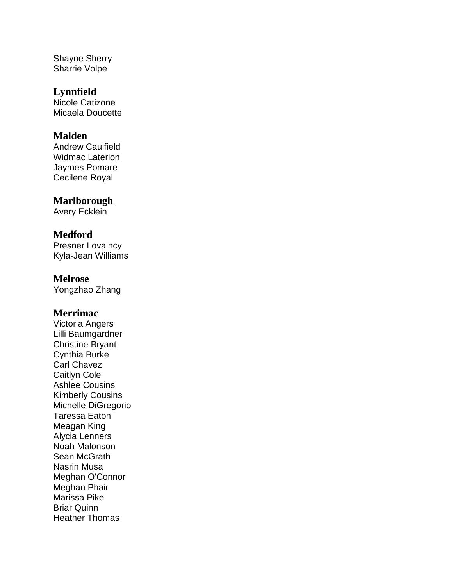Shayne Sherry Sharrie Volpe

# **Lynnfield**

Nicole Catizone Micaela Doucette

# **Malden**

Andrew Caulfield Widmac Laterion Jaymes Pomare Cecilene Royal

# **Marlborough**

Avery Ecklein

# **Medford**

Presner Lovaincy Kyla-Jean Williams

# **Melrose**

Yongzhao Zhang

# **Merrimac**

Victoria Angers Lilli Baumgardner Christine Bryant Cynthia Burke Carl Chavez Caitlyn Cole Ashlee Cousins Kimberly Cousins Michelle DiGregorio Taressa Eaton Meagan King Alycia Lenners Noah Malonson Sean McGrath Nasrin Musa Meghan O'Connor Meghan Phair Marissa Pike Briar Quinn Heather Thomas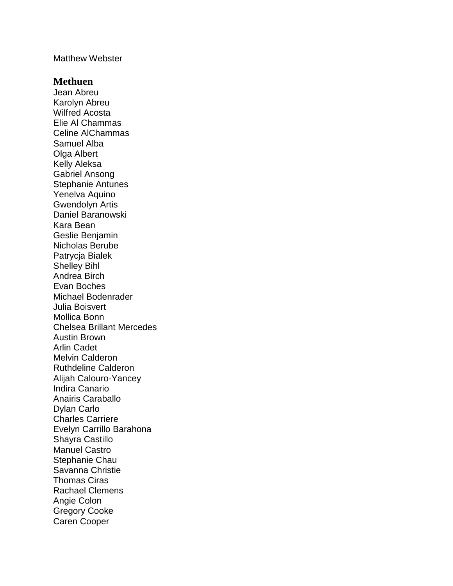#### Matthew Webster

#### **Methuen**

Jean Abreu Karolyn Abreu Wilfred Acosta Elie Al Chammas Celine AlChammas Samuel Alba Olga Albert Kelly Aleksa Gabriel Ansong Stephanie Antunes Yenelva Aquino Gwendolyn Artis Daniel Baranowski Kara Bean Geslie Benjamin Nicholas Berube Patrycja Bialek Shelley Bihl Andrea Birch Evan Boches Michael Bodenrader Julia Boisvert Mollica Bonn Chelsea Brillant Mercedes Austin Brown Arlin Cadet Melvin Calderon Ruthdeline Calderon Alijah Calouro-Yancey Indira Canario Anairis Caraballo Dylan Carlo Charles Carriere Evelyn Carrillo Barahona Shayra Castillo Manuel Castro Stephanie Chau Savanna Christie Thomas Ciras Rachael Clemens Angie Colon Gregory Cooke Caren Cooper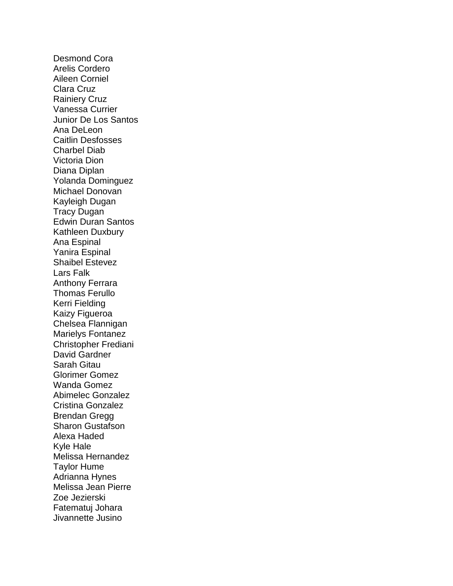Desmond Cora Arelis Cordero Aileen Corniel Clara Cruz Rainiery Cruz Vanessa Currier Junior De Los Santos Ana DeLeon Caitlin Desfosses Charbel Diab Victoria Dion Diana Diplan Yolanda Dominguez Michael Donovan Kayleigh Dugan Tracy Dugan Edwin Duran Santos Kathleen Duxbury Ana Espinal Yanira Espinal Shaibel Estevez Lars Falk Anthony Ferrara Thomas Ferullo Kerri Fielding Kaizy Figueroa Chelsea Flannigan Marielys Fontanez Christopher Frediani David Gardner Sarah Gitau Glorimer Gomez Wanda Gomez Abimelec Gonzalez Cristina Gonzalez Brendan Gregg Sharon Gustafson Alexa Haded Kyle Hale Melissa Hernandez Taylor Hume Adrianna Hynes Melissa Jean Pierre Zoe Jezierski Fatematuj Johara Jivannette Jusino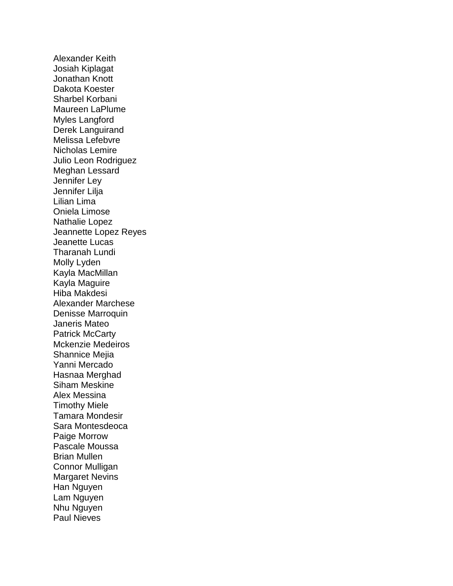Alexander Keith Josiah Kiplagat Jonathan Knott Dakota Koester Sharbel Korbani Maureen LaPlume Myles Langford Derek Languirand Melissa Lefebvre Nicholas Lemire Julio Leon Rodriguez Meghan Lessard Jennifer Ley Jennifer Lilja Lilian Lima Oniela Limose Nathalie Lopez Jeannette Lopez Reyes Jeanette Lucas Tharanah Lundi Molly Lyden Kayla MacMillan Kayla Maguire Hiba Makdesi Alexander Marchese Denisse Marroquin Janeris Mateo Patrick McCarty Mckenzie Medeiros Shannice Mejia Yanni Mercado Hasnaa Merghad Siham Meskine Alex Messina Timothy Miele Tamara Mondesir Sara Montesdeoca Paige Morrow Pascale Moussa Brian Mullen Connor Mulligan Margaret Nevins Han Nguyen Lam Nguyen Nhu Nguyen Paul Nieves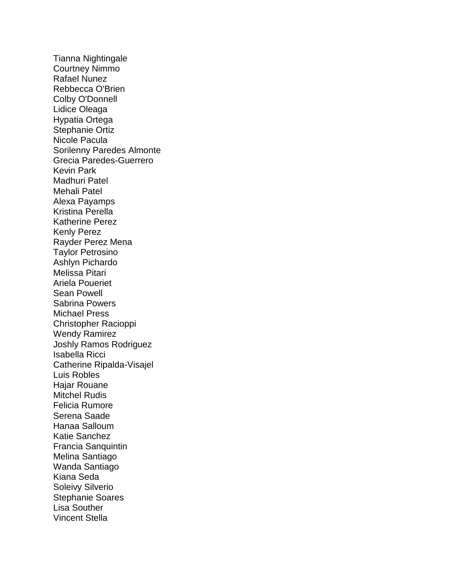Tianna Nightingale Courtney Nimmo Rafael Nunez Rebbecca O'Brien Colby O'Donnell Lidice Oleaga Hypatia Ortega Stephanie Ortiz Nicole Pacula Sorilenny Paredes Almonte Grecia Paredes-Guerrero Kevin Park Madhuri Patel Mehali Patel Alexa Payamps Kristina Perella Katherine Perez Kenly Perez Rayder Perez Mena Taylor Petrosino Ashlyn Pichardo Melissa Pitari Ariela Poueriet Sean Powell Sabrina Powers Michael Press Christopher Racioppi Wendy Ramirez Joshly Ramos Rodriguez Isabella Ricci Catherine Ripalda-Visajel Luis Robles Hajar Rouane Mitchel Rudis Felicia Rumore Serena Saade Hanaa Salloum Katie Sanchez Francia Sanquintin Melina Santiago Wanda Santiago Kiana Seda Soleivy Silverio Stephanie Soares Lisa Souther Vincent Stella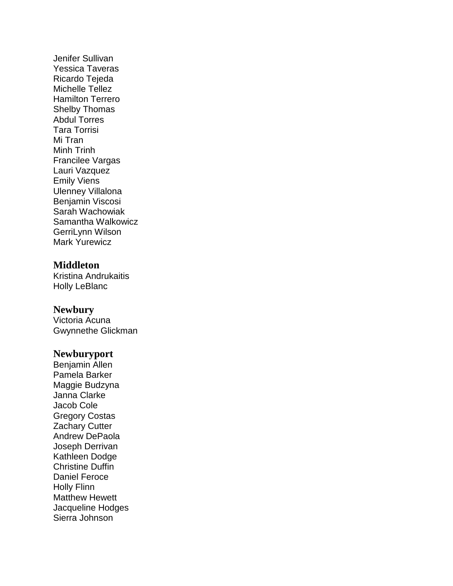Jenifer Sullivan Yessica Taveras Ricardo Tejeda Michelle Tellez Hamilton Terrero Shelby Thomas Abdul Torres Tara Torrisi Mi Tran Minh Trinh Francilee Vargas Lauri Vazquez Emily Viens Ulenney Villalona Benjamin Viscosi Sarah Wachowiak Samantha Walkowicz GerriLynn Wilson Mark Yurewicz

# **Middleton**

Kristina Andrukaitis Holly LeBlanc

# **Newbury**

Victoria Acuna Gwynnethe Glickman

#### **Newburyport**

Benjamin Allen Pamela Barker Maggie Budzyna Janna Clarke Jacob Cole Gregory Costas Zachary Cutter Andrew DePaola Joseph Derrivan Kathleen Dodge Christine Duffin Daniel Feroce Holly Flinn Matthew Hewett Jacqueline Hodges Sierra Johnson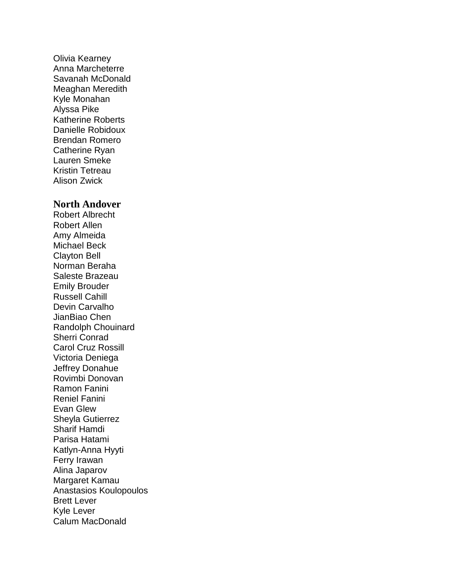Olivia Kearney Anna Marcheterre Savanah McDonald Meaghan Meredith Kyle Monahan Alyssa Pike Katherine Roberts Danielle Robidoux Brendan Romero Catherine Ryan Lauren Smeke Kristin Tetreau Alison Zwick

### **North Andover**

Robert Albrecht Robert Allen Amy Almeida Michael Beck Clayton Bell Norman Beraha Saleste Brazeau Emily Brouder Russell Cahill Devin Carvalho JianBiao Chen Randolph Chouinard Sherri Conrad Carol Cruz Rossill Victoria Deniega Jeffrey Donahue Rovimbi Donovan Ramon Fanini Reniel Fanini Evan Glew Sheyla Gutierrez Sharif Hamdi Parisa Hatami Katlyn-Anna Hyyti Ferry Irawan Alina Japarov Margaret Kamau Anastasios Koulopoulos Brett Lever Kyle Lever Calum MacDonald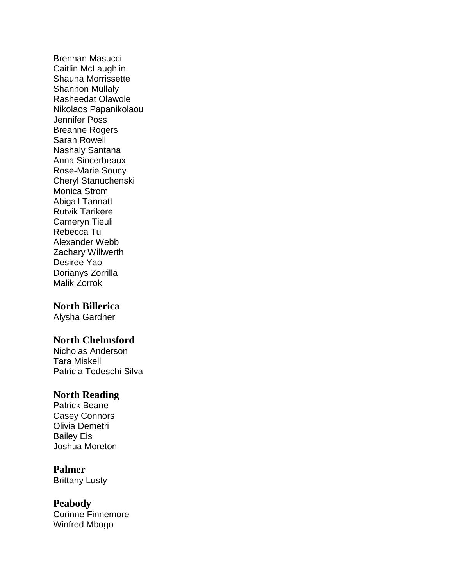Brennan Masucci Caitlin McLaughlin Shauna Morrissette Shannon Mullaly Rasheedat Olawole Nikolaos Papanikolaou Jennifer Poss Breanne Rogers Sarah Rowell Nashaly Santana Anna Sincerbeaux Rose-Marie Soucy Cheryl Stanuchenski Monica Strom Abigail Tannatt Rutvik Tarikere Cameryn Tieuli Rebecca Tu Alexander Webb Zachary Willwerth Desiree Yao Dorianys Zorrilla Malik Zorrok

# **North Billerica**

Alysha Gardner

# **North Chelmsford**

Nicholas Anderson Tara Miskell Patricia Tedeschi Silva

### **North Reading**

Patrick Beane Casey Connors Olivia Demetri Bailey Eis Joshua Moreton

# **Palmer**

Brittany Lusty

### **Peabody**

Corinne Finnemore Winfred Mbogo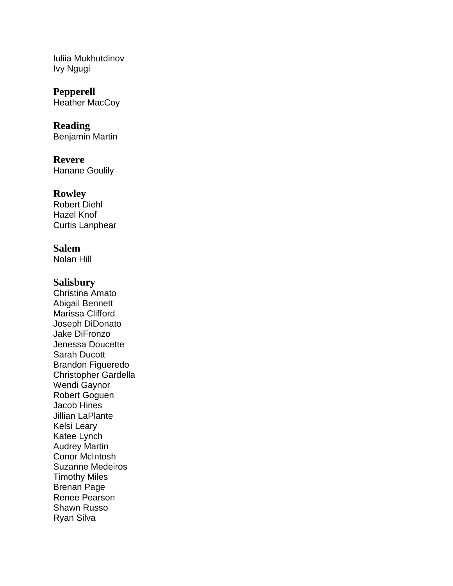Iuliia Mukhutdinov Ivy Ngugi

**Pepperell** Heather MacCoy

**Reading** Benjamin Martin

**Revere** Hanane Goulily

**Rowley** Robert Diehl Hazel Knof Curtis Lanphear

**Salem** Nolan Hill

# **Salisbury**

Christina Amato Abigail Bennett Marissa Clifford Joseph DiDonato Jake DiFronzo Jenessa Doucette Sarah Ducott Brandon Figueredo Christopher Gardella Wendi Gaynor Robert Goguen Jacob Hines Jillian LaPlante Kelsi Leary Katee Lynch Audrey Martin Conor McIntosh Suzanne Medeiros Timothy Miles Brenan Page Renee Pearson Shawn Russo Ryan Silva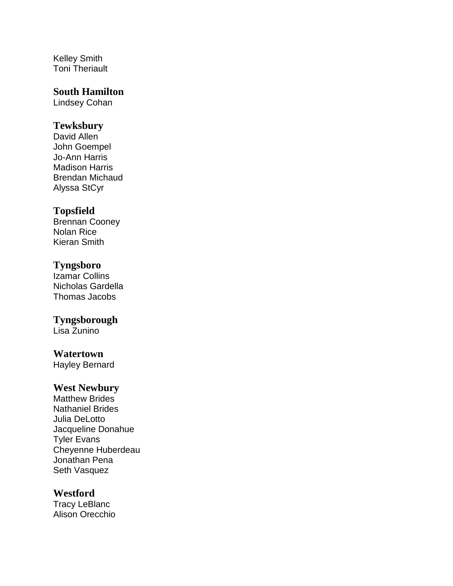Kelley Smith Toni Theriault

# **South Hamilton**

Lindsey Cohan

# **Tewksbury**

David Allen John Goempel Jo-Ann Harris Madison Harris Brendan Michaud Alyssa StCyr

# **Topsfield**

Brennan Cooney Nolan Rice Kieran Smith

# **Tyngsboro**

Izamar Collins Nicholas Gardella Thomas Jacobs

# **Tyngsborough**

Lisa Zunino

#### **Watertown**

Hayley Bernard

# **West Newbury**

Matthew Brides Nathaniel Brides Julia DeLotto Jacqueline Donahue Tyler Evans Cheyenne Huberdeau Jonathan Pena Seth Vasquez

# **Westford**

Tracy LeBlanc Alison Orecchio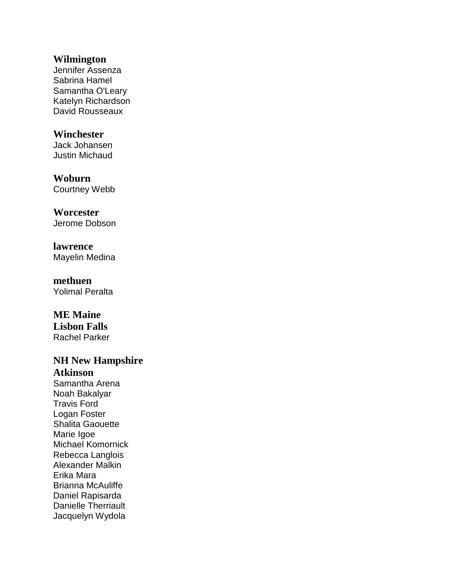### **Wilmington**

Jennifer Assenza Sabrina Hamel Samantha O'Leary Katelyn Richardson David Rousseaux

# **Winchester**

Jack Johansen Justin Michaud

# **Woburn** Courtney Webb

**Worcester** Jerome Dobson

**lawrence** Mayelin Medina

**methuen** Yolimal Peralta

# **ME Maine**

**Lisbon Falls** Rachel Parker

# **NH New Hampshire Atkinson**

Samantha Arena Noah Bakalyar Travis Ford Logan Foster Shalita Gaouette Marie Igoe Michael Komornick Rebecca Langlois Alexander Malkin Erika Mara Brianna McAuliffe Daniel Rapisarda Danielle Therriault Jacquelyn Wydola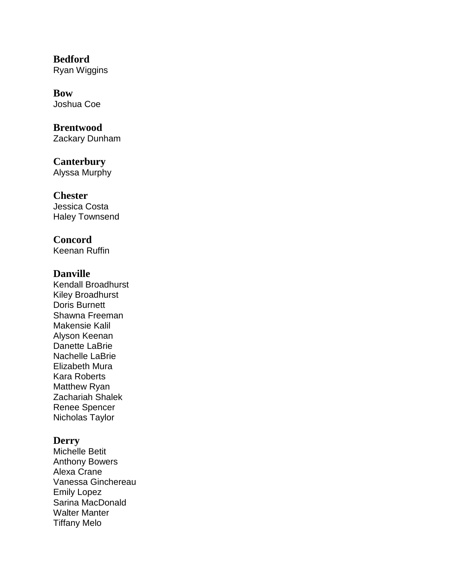**Bedford** Ryan Wiggins

**Bow** Joshua Coe

**Brentwood** Zackary Dunham

**Canterbury** Alyssa Murphy

**Chester** Jessica Costa Haley Townsend

**Concord** Keenan Ruffin

# **Danville**

Kendall Broadhurst Kiley Broadhurst Doris Burnett Shawna Freeman Makensie Kalil Alyson Keenan Danette LaBrie Nachelle LaBrie Elizabeth Mura Kara Roberts Matthew Ryan Zachariah Shalek Renee Spencer Nicholas Taylor

# **Derry**

Michelle Betit Anthony Bowers Alexa Crane Vanessa Ginchereau Emily Lopez Sarina MacDonald Walter Manter Tiffany Melo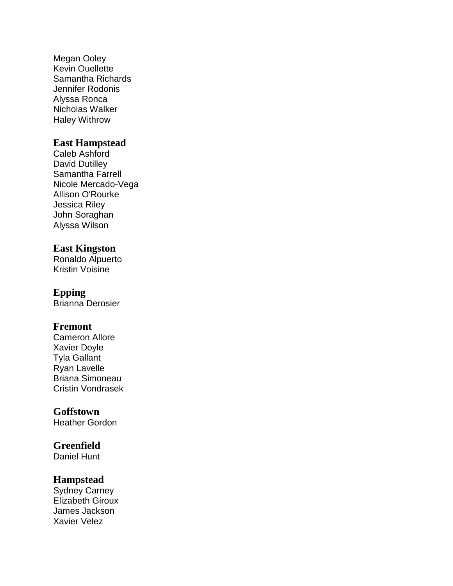Megan Ooley Kevin Ouellette Samantha Richards Jennifer Rodonis Alyssa Ronca Nicholas Walker Haley Withrow

# **East Hampstead**

Caleb Ashford David Dutilley Samantha Farrell Nicole Mercado-Vega Allison O'Rourke Jessica Riley John Soraghan Alyssa Wilson

# **East Kingston**

Ronaldo Alpuerto Kristin Voisine

# **Epping**

Brianna Derosier

# **Fremont**

Cameron Allore Xavier Doyle Tyla Gallant Ryan Lavelle Briana Simoneau Cristin Vondrasek

# **Goffstown**

Heather Gordon

# **Greenfield**

Daniel Hunt

# **Hampstead**

Sydney Carney Elizabeth Giroux James Jackson Xavier Velez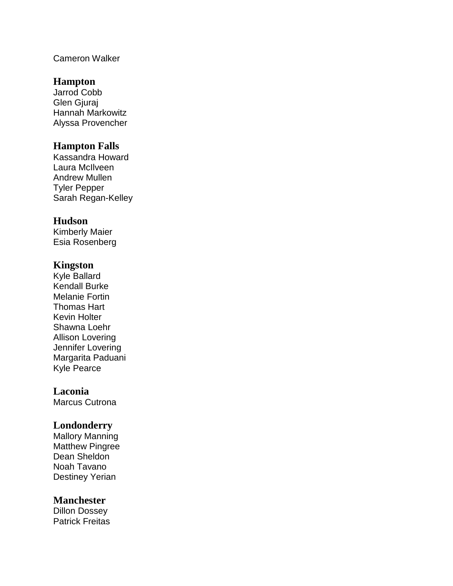# Cameron Walker

# **Hampton**

Jarrod Cobb Glen Giurai Hannah Markowitz Alyssa Provencher

### **Hampton Falls**

Kassandra Howard Laura McIlveen Andrew Mullen Tyler Pepper Sarah Regan-Kelley

# **Hudson**

Kimberly Maier Esia Rosenberg

# **Kingston**

Kyle Ballard Kendall Burke Melanie Fortin Thomas Hart Kevin Holter Shawna Loehr Allison Lovering Jennifer Lovering Margarita Paduani Kyle Pearce

# **Laconia**

Marcus Cutrona

# **Londonderry**

Mallory Manning Matthew Pingree Dean Sheldon Noah Tavano Destiney Yerian

#### **Manchester**

Dillon Dossey Patrick Freitas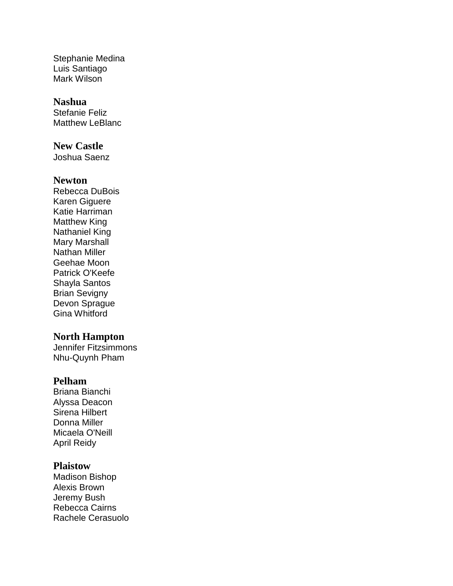Stephanie Medina Luis Santiago Mark Wilson

### **Nashua**

Stefanie Feliz Matthew LeBlanc

### **New Castle**

Joshua Saenz

### **Newton**

Rebecca DuBois Karen Giguere Katie Harriman Matthew King Nathaniel King Mary Marshall Nathan Miller Geehae Moon Patrick O'Keefe Shayla Santos Brian Sevigny Devon Sprague Gina Whitford

#### **North Hampton**

Jennifer Fitzsimmons Nhu-Quynh Pham

# **Pelham**

Briana Bianchi Alyssa Deacon Sirena Hilbert Donna Miller Micaela O'Neill April Reidy

### **Plaistow**

Madison Bishop Alexis Brown Jeremy Bush Rebecca Cairns Rachele Cerasuolo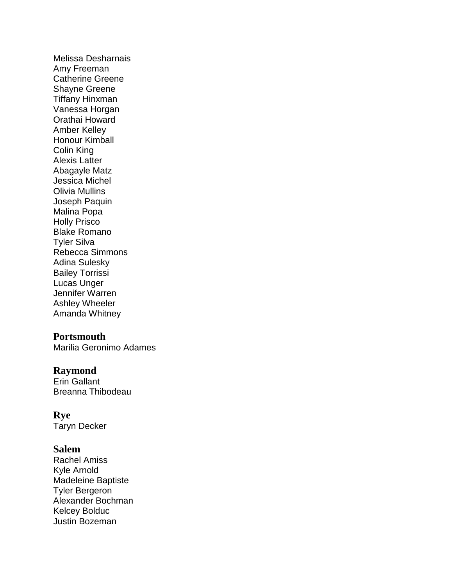Melissa Desharnais Amy Freeman Catherine Greene Shayne Greene Tiffany Hinxman Vanessa Horgan Orathai Howard Amber Kelley Honour Kimball Colin King Alexis Latter Abagayle Matz Jessica Michel Olivia Mullins Joseph Paquin Malina Popa Holly Prisco Blake Romano Tyler Silva Rebecca Simmons Adina Sulesky Bailey Torrissi Lucas Unger Jennifer Warren Ashley Wheeler Amanda Whitney

#### **Portsmouth**

Marilia Geronimo Adames

# **Raymond**

Erin Gallant Breanna Thibodeau

### **Rye**

Taryn Decker

### **Salem**

Rachel Amiss Kyle Arnold Madeleine Baptiste Tyler Bergeron Alexander Bochman Kelcey Bolduc Justin Bozeman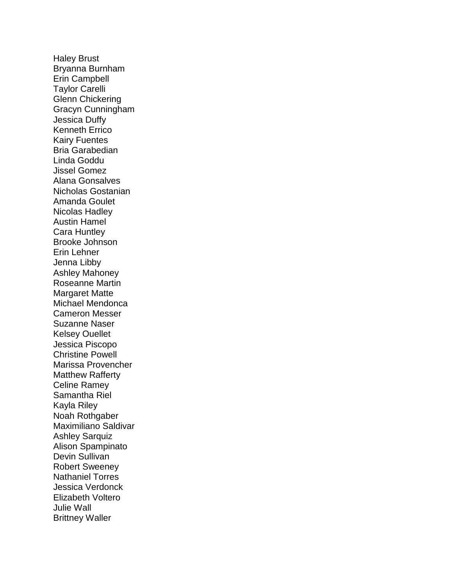Haley Brust Bryanna Burnham Erin Campbell Taylor Carelli Glenn Chickering Gracyn Cunningham Jessica Duffy Kenneth Errico Kairy Fuentes Bria Garabedian Linda Goddu Jissel Gomez Alana Gonsalves Nicholas Gostanian Amanda Goulet Nicolas Hadley Austin Hamel Cara Huntley Brooke Johnson Erin Lehner Jenna Libby Ashley Mahoney Roseanne Martin Margaret Matte Michael Mendonca Cameron Messer Suzanne Naser Kelsey Ouellet Jessica Piscopo Christine Powell Marissa Provencher Matthew Rafferty Celine Ramey Samantha Riel Kayla Riley Noah Rothgaber Maximiliano Saldivar Ashley Sarquiz Alison Spampinato Devin Sullivan Robert Sweeney Nathaniel Torres Jessica Verdonck Elizabeth Voltero Julie Wall Brittney Waller